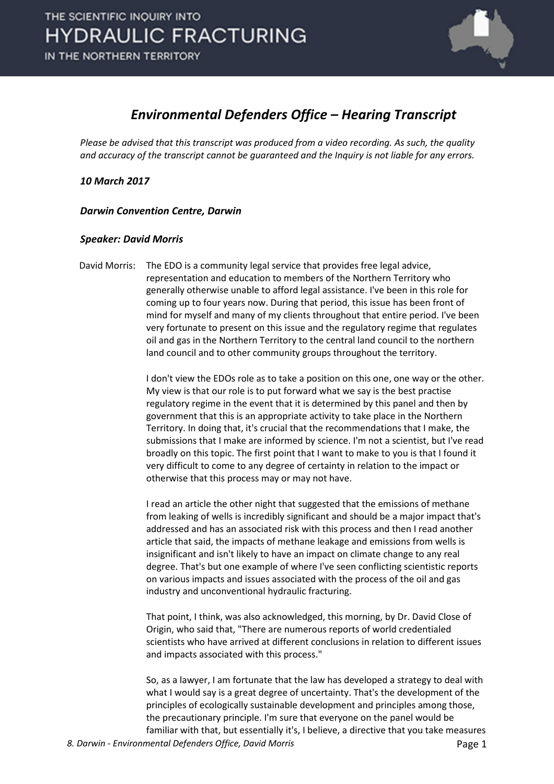

#### *Environmental Defenders Office – Hearing Transcript*

*Please be advised that this transcript was produced from a video recording. As such, the quality and accuracy of the transcript cannot be guaranteed and the Inquiry is not liable for any errors.*

*10 March 2017* 

*Darwin Convention Centre, Darwin* 

#### *Speaker: David Morris*

David Morris: The EDO is a community legal service that provides free legal advice, representation and education to members of the Northern Territory who generally otherwise unable to afford legal assistance. I've been in this role for coming up to four years now. During that period, this issue has been front of mind for myself and many of my clients throughout that entire period. I've been very fortunate to present on this issue and the regulatory regime that regulates oil and gas in the Northern Territory to the central land council to the northern land council and to other community groups throughout the territory.

> I don't view the EDOs role as to take a position on this one, one way or the other. My view is that our role is to put forward what we say is the best practise regulatory regime in the event that it is determined by this panel and then by government that this is an appropriate activity to take place in the Northern Territory. In doing that, it's crucial that the recommendations that I make, the submissions that I make are informed by science. I'm not a scientist, but I've read broadly on this topic. The first point that I want to make to you is that I found it very difficult to come to any degree of certainty in relation to the impact or otherwise that this process may or may not have.

I read an article the other night that suggested that the emissions of methane from leaking of wells is incredibly significant and should be a major impact that's addressed and has an associated risk with this process and then I read another article that said, the impacts of methane leakage and emissions from wells is insignificant and isn't likely to have an impact on climate change to any real degree. That's but one example of where I've seen conflicting scientistic reports on various impacts and issues associated with the process of the oil and gas industry and unconventional hydraulic fracturing.

That point, I think, was also acknowledged, this morning, by Dr. David Close of Origin, who said that, "There are numerous reports of world credentialed scientists who have arrived at different conclusions in relation to different issues and impacts associated with this process."

So, as a lawyer, I am fortunate that the law has developed a strategy to deal with what I would say is a great degree of uncertainty. That's the development of the principles of ecologically sustainable development and principles among those, the precautionary principle. I'm sure that everyone on the panel would be familiar with that, but essentially it's, I believe, a directive that you take measures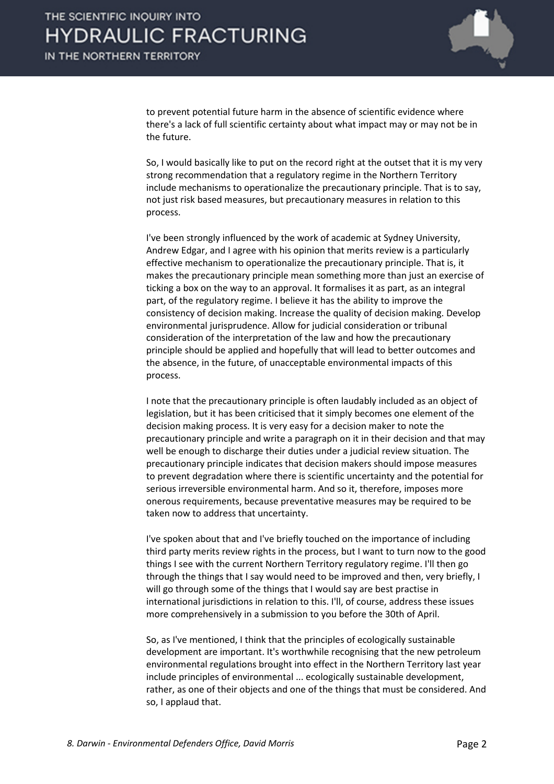

to prevent potential future harm in the absence of scientific evidence where there's a lack of full scientific certainty about what impact may or may not be in the future.

So, I would basically like to put on the record right at the outset that it is my very strong recommendation that a regulatory regime in the Northern Territory include mechanisms to operationalize the precautionary principle. That is to say, not just risk based measures, but precautionary measures in relation to this process.

I've been strongly influenced by the work of academic at Sydney University, Andrew Edgar, and I agree with his opinion that merits review is a particularly effective mechanism to operationalize the precautionary principle. That is, it makes the precautionary principle mean something more than just an exercise of ticking a box on the way to an approval. It formalises it as part, as an integral part, of the regulatory regime. I believe it has the ability to improve the consistency of decision making. Increase the quality of decision making. Develop environmental jurisprudence. Allow for judicial consideration or tribunal consideration of the interpretation of the law and how the precautionary principle should be applied and hopefully that will lead to better outcomes and the absence, in the future, of unacceptable environmental impacts of this process.

I note that the precautionary principle is often laudably included as an object of legislation, but it has been criticised that it simply becomes one element of the decision making process. It is very easy for a decision maker to note the precautionary principle and write a paragraph on it in their decision and that may well be enough to discharge their duties under a judicial review situation. The precautionary principle indicates that decision makers should impose measures to prevent degradation where there is scientific uncertainty and the potential for serious irreversible environmental harm. And so it, therefore, imposes more onerous requirements, because preventative measures may be required to be taken now to address that uncertainty.

I've spoken about that and I've briefly touched on the importance of including third party merits review rights in the process, but I want to turn now to the good things I see with the current Northern Territory regulatory regime. I'll then go through the things that I say would need to be improved and then, very briefly, I will go through some of the things that I would say are best practise in international jurisdictions in relation to this. I'll, of course, address these issues more comprehensively in a submission to you before the 30th of April.

So, as I've mentioned, I think that the principles of ecologically sustainable development are important. It's worthwhile recognising that the new petroleum environmental regulations brought into effect in the Northern Territory last year include principles of environmental ... ecologically sustainable development, rather, as one of their objects and one of the things that must be considered. And so, I applaud that.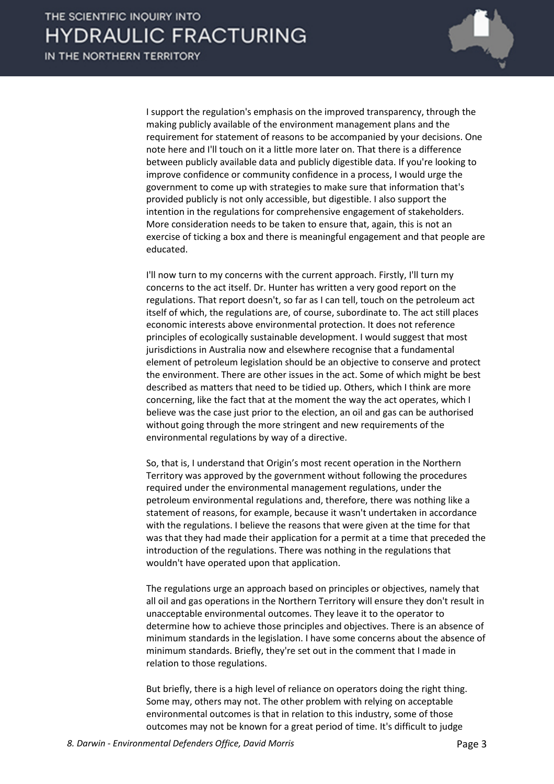

I support the regulation's emphasis on the improved transparency, through the making publicly available of the environment management plans and the requirement for statement of reasons to be accompanied by your decisions. One note here and I'll touch on it a little more later on. That there is a difference between publicly available data and publicly digestible data. If you're looking to improve confidence or community confidence in a process, I would urge the government to come up with strategies to make sure that information that's provided publicly is not only accessible, but digestible. I also support the intention in the regulations for comprehensive engagement of stakeholders. More consideration needs to be taken to ensure that, again, this is not an exercise of ticking a box and there is meaningful engagement and that people are educated.

I'll now turn to my concerns with the current approach. Firstly, I'll turn my concerns to the act itself. Dr. Hunter has written a very good report on the regulations. That report doesn't, so far as I can tell, touch on the petroleum act itself of which, the regulations are, of course, subordinate to. The act still places economic interests above environmental protection. It does not reference principles of ecologically sustainable development. I would suggest that most jurisdictions in Australia now and elsewhere recognise that a fundamental element of petroleum legislation should be an objective to conserve and protect the environment. There are other issues in the act. Some of which might be best described as matters that need to be tidied up. Others, which I think are more concerning, like the fact that at the moment the way the act operates, which I believe was the case just prior to the election, an oil and gas can be authorised without going through the more stringent and new requirements of the environmental regulations by way of a directive.

So, that is, I understand that Origin's most recent operation in the Northern Territory was approved by the government without following the procedures required under the environmental management regulations, under the petroleum environmental regulations and, therefore, there was nothing like a statement of reasons, for example, because it wasn't undertaken in accordance with the regulations. I believe the reasons that were given at the time for that was that they had made their application for a permit at a time that preceded the introduction of the regulations. There was nothing in the regulations that wouldn't have operated upon that application.

The regulations urge an approach based on principles or objectives, namely that all oil and gas operations in the Northern Territory will ensure they don't result in unacceptable environmental outcomes. They leave it to the operator to determine how to achieve those principles and objectives. There is an absence of minimum standards in the legislation. I have some concerns about the absence of minimum standards. Briefly, they're set out in the comment that I made in relation to those regulations.

But briefly, there is a high level of reliance on operators doing the right thing. Some may, others may not. The other problem with relying on acceptable environmental outcomes is that in relation to this industry, some of those outcomes may not be known for a great period of time. It's difficult to judge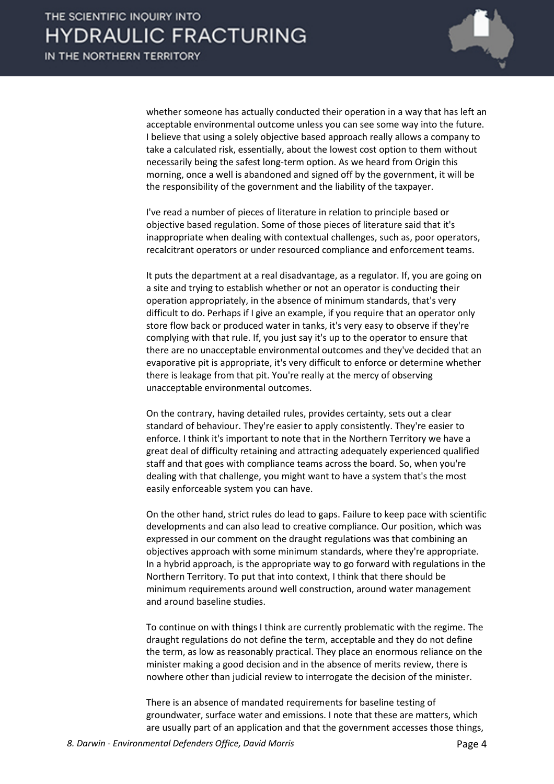

whether someone has actually conducted their operation in a way that has left an acceptable environmental outcome unless you can see some way into the future. I believe that using a solely objective based approach really allows a company to take a calculated risk, essentially, about the lowest cost option to them without necessarily being the safest long-term option. As we heard from Origin this morning, once a well is abandoned and signed off by the government, it will be the responsibility of the government and the liability of the taxpayer.

I've read a number of pieces of literature in relation to principle based or objective based regulation. Some of those pieces of literature said that it's inappropriate when dealing with contextual challenges, such as, poor operators, recalcitrant operators or under resourced compliance and enforcement teams.

It puts the department at a real disadvantage, as a regulator. If, you are going on a site and trying to establish whether or not an operator is conducting their operation appropriately, in the absence of minimum standards, that's very difficult to do. Perhaps if I give an example, if you require that an operator only store flow back or produced water in tanks, it's very easy to observe if they're complying with that rule. If, you just say it's up to the operator to ensure that there are no unacceptable environmental outcomes and they've decided that an evaporative pit is appropriate, it's very difficult to enforce or determine whether there is leakage from that pit. You're really at the mercy of observing unacceptable environmental outcomes.

On the contrary, having detailed rules, provides certainty, sets out a clear standard of behaviour. They're easier to apply consistently. They're easier to enforce. I think it's important to note that in the Northern Territory we have a great deal of difficulty retaining and attracting adequately experienced qualified staff and that goes with compliance teams across the board. So, when you're dealing with that challenge, you might want to have a system that's the most easily enforceable system you can have.

On the other hand, strict rules do lead to gaps. Failure to keep pace with scientific developments and can also lead to creative compliance. Our position, which was expressed in our comment on the draught regulations was that combining an objectives approach with some minimum standards, where they're appropriate. In a hybrid approach, is the appropriate way to go forward with regulations in the Northern Territory. To put that into context, I think that there should be minimum requirements around well construction, around water management and around baseline studies.

To continue on with things I think are currently problematic with the regime. The draught regulations do not define the term, acceptable and they do not define the term, as low as reasonably practical. They place an enormous reliance on the minister making a good decision and in the absence of merits review, there is nowhere other than judicial review to interrogate the decision of the minister.

There is an absence of mandated requirements for baseline testing of groundwater, surface water and emissions. I note that these are matters, which are usually part of an application and that the government accesses those things,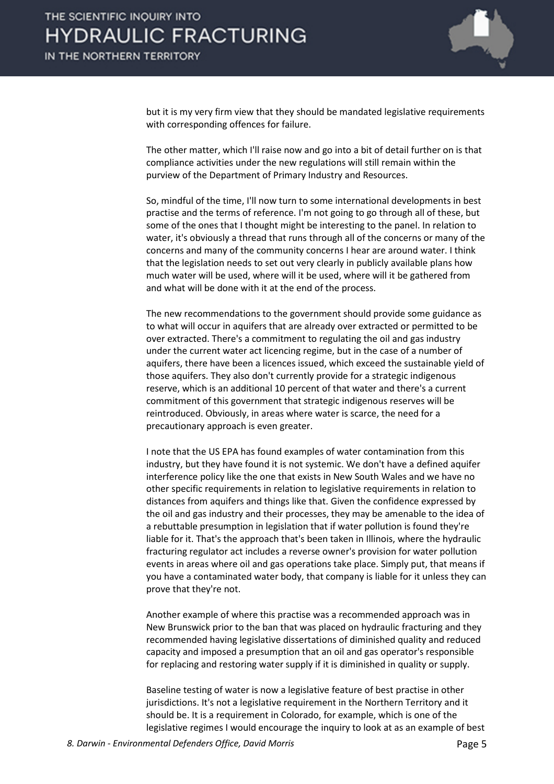

but it is my very firm view that they should be mandated legislative requirements with corresponding offences for failure.

The other matter, which I'll raise now and go into a bit of detail further on is that compliance activities under the new regulations will still remain within the purview of the Department of Primary Industry and Resources.

So, mindful of the time, I'll now turn to some international developments in best practise and the terms of reference. I'm not going to go through all of these, but some of the ones that I thought might be interesting to the panel. In relation to water, it's obviously a thread that runs through all of the concerns or many of the concerns and many of the community concerns I hear are around water. I think that the legislation needs to set out very clearly in publicly available plans how much water will be used, where will it be used, where will it be gathered from and what will be done with it at the end of the process.

The new recommendations to the government should provide some guidance as to what will occur in aquifers that are already over extracted or permitted to be over extracted. There's a commitment to regulating the oil and gas industry under the current water act licencing regime, but in the case of a number of aquifers, there have been a licences issued, which exceed the sustainable yield of those aquifers. They also don't currently provide for a strategic indigenous reserve, which is an additional 10 percent of that water and there's a current commitment of this government that strategic indigenous reserves will be reintroduced. Obviously, in areas where water is scarce, the need for a precautionary approach is even greater.

I note that the US EPA has found examples of water contamination from this industry, but they have found it is not systemic. We don't have a defined aquifer interference policy like the one that exists in New South Wales and we have no other specific requirements in relation to legislative requirements in relation to distances from aquifers and things like that. Given the confidence expressed by the oil and gas industry and their processes, they may be amenable to the idea of a rebuttable presumption in legislation that if water pollution is found they're liable for it. That's the approach that's been taken in Illinois, where the hydraulic fracturing regulator act includes a reverse owner's provision for water pollution events in areas where oil and gas operations take place. Simply put, that means if you have a contaminated water body, that company is liable for it unless they can prove that they're not.

Another example of where this practise was a recommended approach was in New Brunswick prior to the ban that was placed on hydraulic fracturing and they recommended having legislative dissertations of diminished quality and reduced capacity and imposed a presumption that an oil and gas operator's responsible for replacing and restoring water supply if it is diminished in quality or supply.

Baseline testing of water is now a legislative feature of best practise in other jurisdictions. It's not a legislative requirement in the Northern Territory and it should be. It is a requirement in Colorado, for example, which is one of the legislative regimes I would encourage the inquiry to look at as an example of best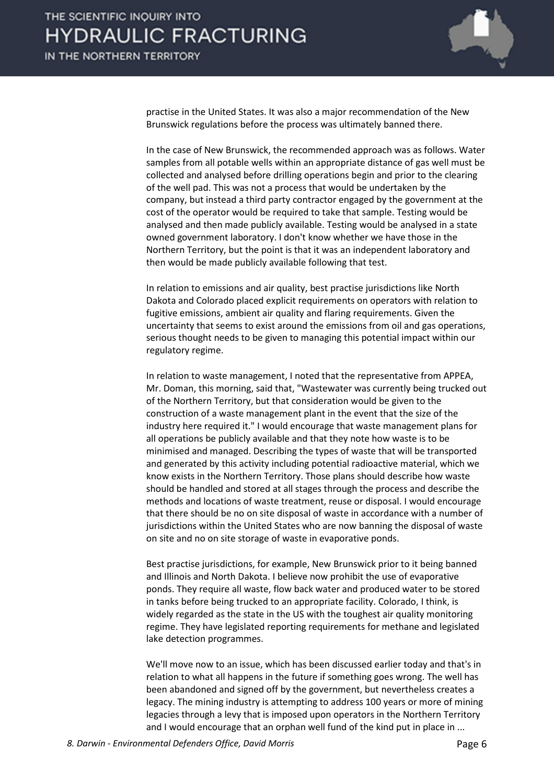

practise in the United States. It was also a major recommendation of the New Brunswick regulations before the process was ultimately banned there.

In the case of New Brunswick, the recommended approach was as follows. Water samples from all potable wells within an appropriate distance of gas well must be collected and analysed before drilling operations begin and prior to the clearing of the well pad. This was not a process that would be undertaken by the company, but instead a third party contractor engaged by the government at the cost of the operator would be required to take that sample. Testing would be analysed and then made publicly available. Testing would be analysed in a state owned government laboratory. I don't know whether we have those in the Northern Territory, but the point is that it was an independent laboratory and then would be made publicly available following that test.

In relation to emissions and air quality, best practise jurisdictions like North Dakota and Colorado placed explicit requirements on operators with relation to fugitive emissions, ambient air quality and flaring requirements. Given the uncertainty that seems to exist around the emissions from oil and gas operations, serious thought needs to be given to managing this potential impact within our regulatory regime.

In relation to waste management, I noted that the representative from APPEA, Mr. Doman, this morning, said that, "Wastewater was currently being trucked out of the Northern Territory, but that consideration would be given to the construction of a waste management plant in the event that the size of the industry here required it." I would encourage that waste management plans for all operations be publicly available and that they note how waste is to be minimised and managed. Describing the types of waste that will be transported and generated by this activity including potential radioactive material, which we know exists in the Northern Territory. Those plans should describe how waste should be handled and stored at all stages through the process and describe the methods and locations of waste treatment, reuse or disposal. I would encourage that there should be no on site disposal of waste in accordance with a number of jurisdictions within the United States who are now banning the disposal of waste on site and no on site storage of waste in evaporative ponds.

Best practise jurisdictions, for example, New Brunswick prior to it being banned and Illinois and North Dakota. I believe now prohibit the use of evaporative ponds. They require all waste, flow back water and produced water to be stored in tanks before being trucked to an appropriate facility. Colorado, I think, is widely regarded as the state in the US with the toughest air quality monitoring regime. They have legislated reporting requirements for methane and legislated lake detection programmes.

We'll move now to an issue, which has been discussed earlier today and that's in relation to what all happens in the future if something goes wrong. The well has been abandoned and signed off by the government, but nevertheless creates a legacy. The mining industry is attempting to address 100 years or more of mining legacies through a levy that is imposed upon operators in the Northern Territory and I would encourage that an orphan well fund of the kind put in place in ...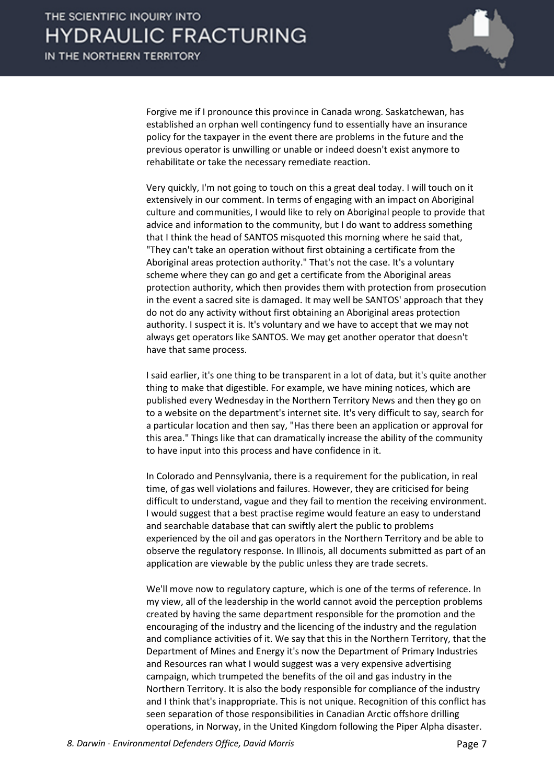

Forgive me if I pronounce this province in Canada wrong. Saskatchewan, has established an orphan well contingency fund to essentially have an insurance policy for the taxpayer in the event there are problems in the future and the previous operator is unwilling or unable or indeed doesn't exist anymore to rehabilitate or take the necessary remediate reaction.

Very quickly, I'm not going to touch on this a great deal today. I will touch on it extensively in our comment. In terms of engaging with an impact on Aboriginal culture and communities, I would like to rely on Aboriginal people to provide that advice and information to the community, but I do want to address something that I think the head of SANTOS misquoted this morning where he said that, "They can't take an operation without first obtaining a certificate from the Aboriginal areas protection authority." That's not the case. It's a voluntary scheme where they can go and get a certificate from the Aboriginal areas protection authority, which then provides them with protection from prosecution in the event a sacred site is damaged. It may well be SANTOS' approach that they do not do any activity without first obtaining an Aboriginal areas protection authority. I suspect it is. It's voluntary and we have to accept that we may not always get operators like SANTOS. We may get another operator that doesn't have that same process.

I said earlier, it's one thing to be transparent in a lot of data, but it's quite another thing to make that digestible. For example, we have mining notices, which are published every Wednesday in the Northern Territory News and then they go on to a website on the department's internet site. It's very difficult to say, search for a particular location and then say, "Has there been an application or approval for this area." Things like that can dramatically increase the ability of the community to have input into this process and have confidence in it.

In Colorado and Pennsylvania, there is a requirement for the publication, in real time, of gas well violations and failures. However, they are criticised for being difficult to understand, vague and they fail to mention the receiving environment. I would suggest that a best practise regime would feature an easy to understand and searchable database that can swiftly alert the public to problems experienced by the oil and gas operators in the Northern Territory and be able to observe the regulatory response. In Illinois, all documents submitted as part of an application are viewable by the public unless they are trade secrets.

We'll move now to regulatory capture, which is one of the terms of reference. In my view, all of the leadership in the world cannot avoid the perception problems created by having the same department responsible for the promotion and the encouraging of the industry and the licencing of the industry and the regulation and compliance activities of it. We say that this in the Northern Territory, that the Department of Mines and Energy it's now the Department of Primary Industries and Resources ran what I would suggest was a very expensive advertising campaign, which trumpeted the benefits of the oil and gas industry in the Northern Territory. It is also the body responsible for compliance of the industry and I think that's inappropriate. This is not unique. Recognition of this conflict has seen separation of those responsibilities in Canadian Arctic offshore drilling operations, in Norway, in the United Kingdom following the Piper Alpha disaster.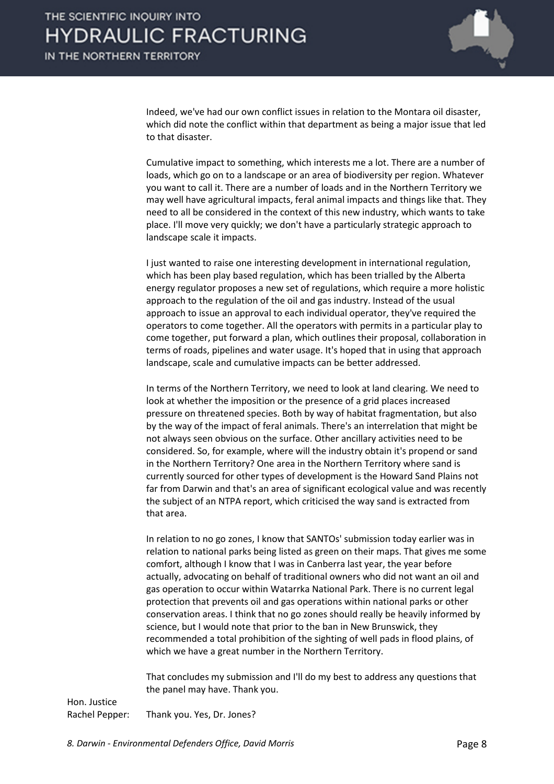

Indeed, we've had our own conflict issues in relation to the Montara oil disaster, which did note the conflict within that department as being a major issue that led to that disaster.

Cumulative impact to something, which interests me a lot. There are a number of loads, which go on to a landscape or an area of biodiversity per region. Whatever you want to call it. There are a number of loads and in the Northern Territory we may well have agricultural impacts, feral animal impacts and things like that. They need to all be considered in the context of this new industry, which wants to take place. I'll move very quickly; we don't have a particularly strategic approach to landscape scale it impacts.

I just wanted to raise one interesting development in international regulation, which has been play based regulation, which has been trialled by the Alberta energy regulator proposes a new set of regulations, which require a more holistic approach to the regulation of the oil and gas industry. Instead of the usual approach to issue an approval to each individual operator, they've required the operators to come together. All the operators with permits in a particular play to come together, put forward a plan, which outlines their proposal, collaboration in terms of roads, pipelines and water usage. It's hoped that in using that approach landscape, scale and cumulative impacts can be better addressed.

In terms of the Northern Territory, we need to look at land clearing. We need to look at whether the imposition or the presence of a grid places increased pressure on threatened species. Both by way of habitat fragmentation, but also by the way of the impact of feral animals. There's an interrelation that might be not always seen obvious on the surface. Other ancillary activities need to be considered. So, for example, where will the industry obtain it's propend or sand in the Northern Territory? One area in the Northern Territory where sand is currently sourced for other types of development is the Howard Sand Plains not far from Darwin and that's an area of significant ecological value and was recently the subject of an NTPA report, which criticised the way sand is extracted from that area.

In relation to no go zones, I know that SANTOs' submission today earlier was in relation to national parks being listed as green on their maps. That gives me some comfort, although I know that I was in Canberra last year, the year before actually, advocating on behalf of traditional owners who did not want an oil and gas operation to occur within Watarrka National Park. There is no current legal protection that prevents oil and gas operations within national parks or other conservation areas. I think that no go zones should really be heavily informed by science, but I would note that prior to the ban in New Brunswick, they recommended a total prohibition of the sighting of well pads in flood plains, of which we have a great number in the Northern Territory.

That concludes my submission and I'll do my best to address any questions that the panel may have. Thank you.

Hon. Justice Rachel Pepper: Thank you. Yes, Dr. Jones?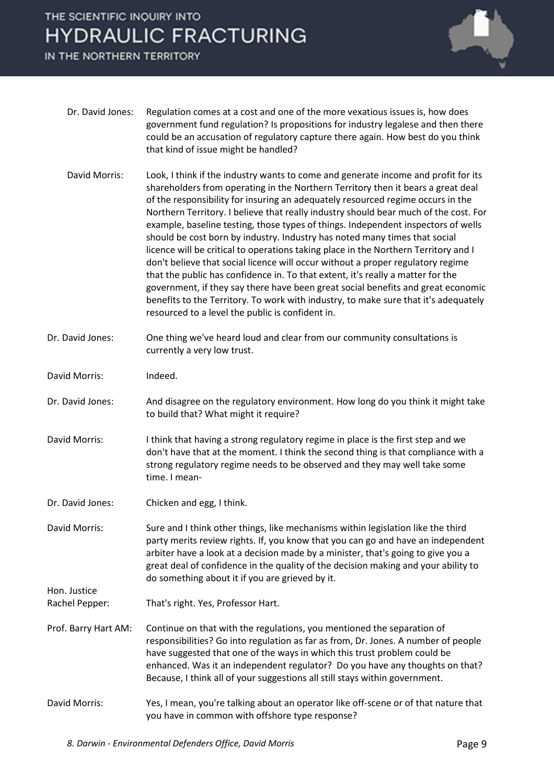IN THE NORTHERN TERRITORY



- Dr. David Jones: Regulation comes at a cost and one of the more vexatious issues is, how does government fund regulation? Is propositions for industry legalese and then there could be an accusation of regulatory capture there again. How best do you think that kind of issue might be handled?
- David Morris: Look, I think if the industry wants to come and generate income and profit for its shareholders from operating in the Northern Territory then it bears a great deal of the responsibility for insuring an adequately resourced regime occurs in the Northern Territory. I believe that really industry should bear much of the cost. For example, baseline testing, those types of things. Independent inspectors of wells should be cost born by industry. Industry has noted many times that social licence will be critical to operations taking place in the Northern Territory and I don't believe that social licence will occur without a proper regulatory regime that the public has confidence in. To that extent, it's really a matter for the government, if they say there have been great social benefits and great economic benefits to the Territory. To work with industry, to make sure that it's adequately resourced to a level the public is confident in.
- Dr. David Jones: One thing we've heard loud and clear from our community consultations is currently a very low trust.
- David Morris: Indeed.

Hon. Justice

- Dr. David Jones: And disagree on the regulatory environment. How long do you think it might take to build that? What might it require?
- David Morris: I think that having a strong regulatory regime in place is the first step and we don't have that at the moment. I think the second thing is that compliance with a strong regulatory regime needs to be observed and they may well take some time. I mean-
- Dr. David Jones: Chicken and egg, I think.
- David Morris: Sure and I think other things, like mechanisms within legislation like the third party merits review rights. If, you know that you can go and have an independent arbiter have a look at a decision made by a minister, that's going to give you a great deal of confidence in the quality of the decision making and your ability to do something about it if you are grieved by it.
- Rachel Pepper: That's right. Yes, Professor Hart.
- Prof. Barry Hart AM: Continue on that with the regulations, you mentioned the separation of responsibilities? Go into regulation as far as from, Dr. Jones. A number of people have suggested that one of the ways in which this trust problem could be enhanced. Was it an independent regulator? Do you have any thoughts on that? Because, I think all of your suggestions all still stays within government.
- David Morris: Yes, I mean, you're talking about an operator like off-scene or of that nature that you have in common with offshore type response?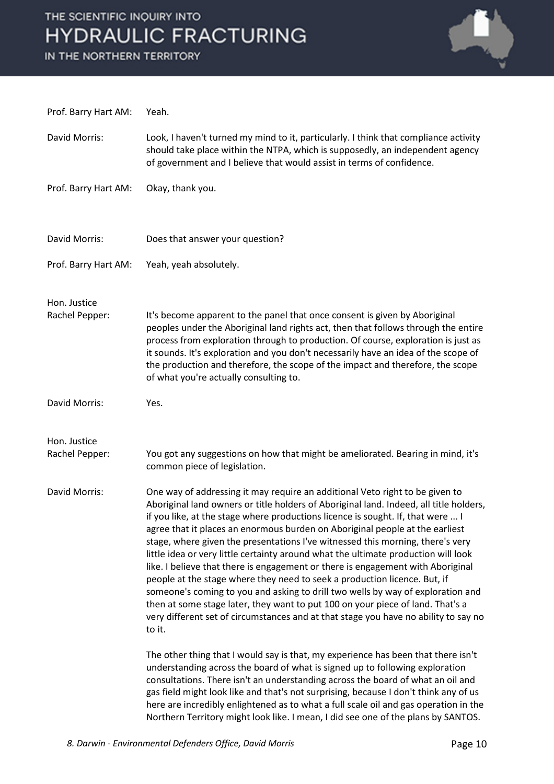

Prof. Barry Hart AM: Yeah. David Morris: Look, I haven't turned my mind to it, particularly. I think that compliance activity should take place within the NTPA, which is supposedly, an independent agency of government and I believe that would assist in terms of confidence. Prof. Barry Hart AM: Okay, thank you. David Morris: Does that answer your question? Prof. Barry Hart AM: Yeah, yeah absolutely. Hon. Justice Rachel Pepper: It's become apparent to the panel that once consent is given by Aboriginal peoples under the Aboriginal land rights act, then that follows through the entire process from exploration through to production. Of course, exploration is just as it sounds. It's exploration and you don't necessarily have an idea of the scope of the production and therefore, the scope of the impact and therefore, the scope of what you're actually consulting to. David Morris: Yes. Hon. Justice Rachel Pepper: You got any suggestions on how that might be ameliorated. Bearing in mind, it's common piece of legislation. David Morris: One way of addressing it may require an additional Veto right to be given to Aboriginal land owners or title holders of Aboriginal land. Indeed, all title holders, if you like, at the stage where productions licence is sought. If, that were ... I agree that it places an enormous burden on Aboriginal people at the earliest stage, where given the presentations I've witnessed this morning, there's very little idea or very little certainty around what the ultimate production will look like. I believe that there is engagement or there is engagement with Aboriginal people at the stage where they need to seek a production licence. But, if someone's coming to you and asking to drill two wells by way of exploration and then at some stage later, they want to put 100 on your piece of land. That's a very different set of circumstances and at that stage you have no ability to say no to it. The other thing that I would say is that, my experience has been that there isn't understanding across the board of what is signed up to following exploration consultations. There isn't an understanding across the board of what an oil and gas field might look like and that's not surprising, because I don't think any of us here are incredibly enlightened as to what a full scale oil and gas operation in the

Northern Territory might look like. I mean, I did see one of the plans by SANTOS.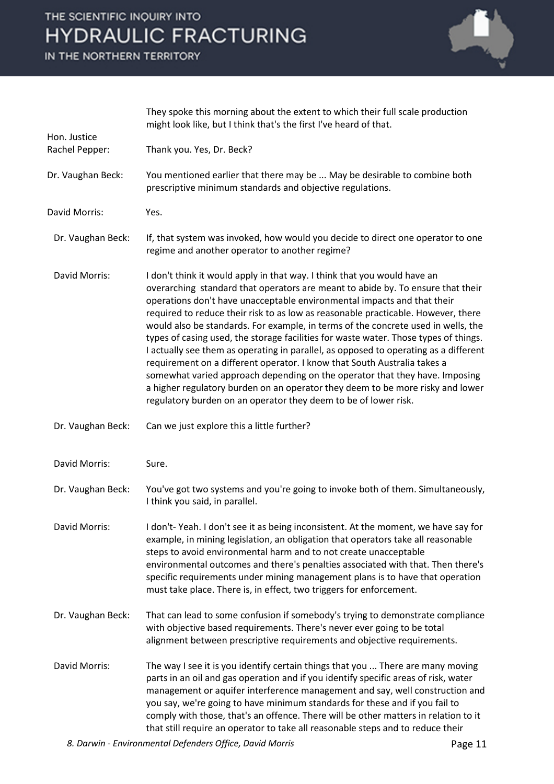IN THE NORTHERN TERRITORY



|                                | They spoke this morning about the extent to which their full scale production<br>might look like, but I think that's the first I've heard of that.                                                                                                                                                                                                                                                                                                                                                                                                                                                                                                                                                                                                                                                                                                                                                               |
|--------------------------------|------------------------------------------------------------------------------------------------------------------------------------------------------------------------------------------------------------------------------------------------------------------------------------------------------------------------------------------------------------------------------------------------------------------------------------------------------------------------------------------------------------------------------------------------------------------------------------------------------------------------------------------------------------------------------------------------------------------------------------------------------------------------------------------------------------------------------------------------------------------------------------------------------------------|
| Hon. Justice<br>Rachel Pepper: | Thank you. Yes, Dr. Beck?                                                                                                                                                                                                                                                                                                                                                                                                                                                                                                                                                                                                                                                                                                                                                                                                                                                                                        |
| Dr. Vaughan Beck:              | You mentioned earlier that there may be  May be desirable to combine both<br>prescriptive minimum standards and objective regulations.                                                                                                                                                                                                                                                                                                                                                                                                                                                                                                                                                                                                                                                                                                                                                                           |
| David Morris:                  | Yes.                                                                                                                                                                                                                                                                                                                                                                                                                                                                                                                                                                                                                                                                                                                                                                                                                                                                                                             |
| Dr. Vaughan Beck:              | If, that system was invoked, how would you decide to direct one operator to one<br>regime and another operator to another regime?                                                                                                                                                                                                                                                                                                                                                                                                                                                                                                                                                                                                                                                                                                                                                                                |
| David Morris:                  | I don't think it would apply in that way. I think that you would have an<br>overarching standard that operators are meant to abide by. To ensure that their<br>operations don't have unacceptable environmental impacts and that their<br>required to reduce their risk to as low as reasonable practicable. However, there<br>would also be standards. For example, in terms of the concrete used in wells, the<br>types of casing used, the storage facilities for waste water. Those types of things.<br>I actually see them as operating in parallel, as opposed to operating as a different<br>requirement on a different operator. I know that South Australia takes a<br>somewhat varied approach depending on the operator that they have. Imposing<br>a higher regulatory burden on an operator they deem to be more risky and lower<br>regulatory burden on an operator they deem to be of lower risk. |
| Dr. Vaughan Beck:              | Can we just explore this a little further?                                                                                                                                                                                                                                                                                                                                                                                                                                                                                                                                                                                                                                                                                                                                                                                                                                                                       |
| David Morris:                  | Sure.                                                                                                                                                                                                                                                                                                                                                                                                                                                                                                                                                                                                                                                                                                                                                                                                                                                                                                            |
| Dr. Vaughan Beck:              | You've got two systems and you're going to invoke both of them. Simultaneously,<br>I think you said, in parallel.                                                                                                                                                                                                                                                                                                                                                                                                                                                                                                                                                                                                                                                                                                                                                                                                |
| David Morris:                  | I don't-Yeah. I don't see it as being inconsistent. At the moment, we have say for<br>example, in mining legislation, an obligation that operators take all reasonable<br>steps to avoid environmental harm and to not create unacceptable<br>environmental outcomes and there's penalties associated with that. Then there's<br>specific requirements under mining management plans is to have that operation<br>must take place. There is, in effect, two triggers for enforcement.                                                                                                                                                                                                                                                                                                                                                                                                                            |
| Dr. Vaughan Beck:              | That can lead to some confusion if somebody's trying to demonstrate compliance<br>with objective based requirements. There's never ever going to be total<br>alignment between prescriptive requirements and objective requirements.                                                                                                                                                                                                                                                                                                                                                                                                                                                                                                                                                                                                                                                                             |
| David Morris:                  | The way I see it is you identify certain things that you  There are many moving<br>parts in an oil and gas operation and if you identify specific areas of risk, water<br>management or aquifer interference management and say, well construction and<br>you say, we're going to have minimum standards for these and if you fail to<br>comply with those, that's an offence. There will be other matters in relation to it<br>that still require an operator to take all reasonable steps and to reduce their                                                                                                                                                                                                                                                                                                                                                                                                  |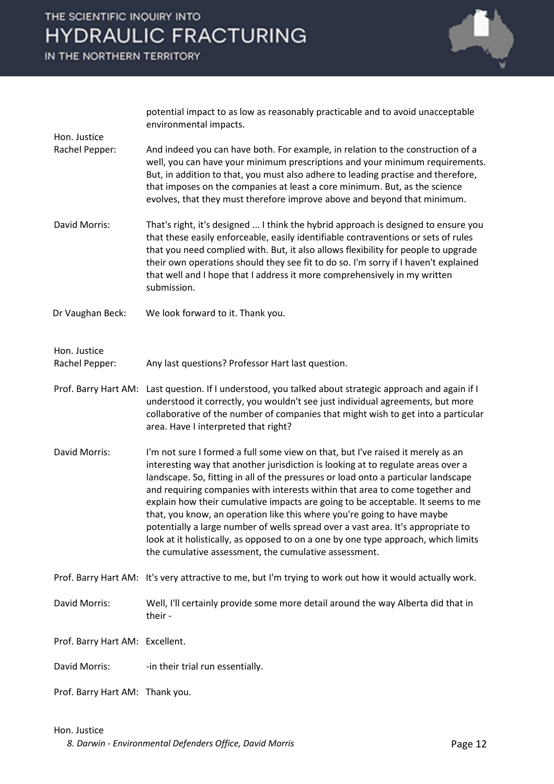IN THE NORTHERN TERRITORY



potential impact to as low as reasonably practicable and to avoid unacceptable environmental impacts.

- Rachel Pepper: And indeed you can have both. For example, in relation to the construction of a well, you can have your minimum prescriptions and your minimum requirements. But, in addition to that, you must also adhere to leading practise and therefore, that imposes on the companies at least a core minimum. But, as the science evolves, that they must therefore improve above and beyond that minimum.
- David Morris: That's right, it's designed ... I think the hybrid approach is designed to ensure you that these easily enforceable, easily identifiable contraventions or sets of rules that you need complied with. But, it also allows flexibility for people to upgrade their own operations should they see fit to do so. I'm sorry if I haven't explained that well and I hope that I address it more comprehensively in my written submission.

Dr Vaughan Beck: We look forward to it. Thank you.

Hon. Justice

Hon. Justice

Rachel Pepper: Any last questions? Professor Hart last question.

- Prof. Barry Hart AM: Last question. If I understood, you talked about strategic approach and again if I understood it correctly, you wouldn't see just individual agreements, but more collaborative of the number of companies that might wish to get into a particular area. Have I interpreted that right?
- David Morris: I'm not sure I formed a full some view on that, but I've raised it merely as an interesting way that another jurisdiction is looking at to regulate areas over a landscape. So, fitting in all of the pressures or load onto a particular landscape and requiring companies with interests within that area to come together and explain how their cumulative impacts are going to be acceptable. It seems to me that, you know, an operation like this where you're going to have maybe potentially a large number of wells spread over a vast area. It's appropriate to look at it holistically, as opposed to on a one by one type approach, which limits the cumulative assessment, the cumulative assessment.
- Prof. Barry Hart AM: It's very attractive to me, but I'm trying to work out how it would actually work.
- David Morris: Well, I'll certainly provide some more detail around the way Alberta did that in their -

Prof. Barry Hart AM: Excellent.

- David Morris: -in their trial run essentially.
- Prof. Barry Hart AM: Thank you.